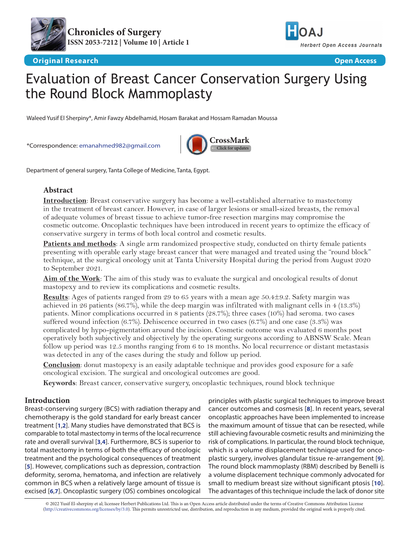



# Evaluation of Breast Cancer Conservation Surgery Using the Round Block Mammoplasty

Waleed Yusif El Sherpiny\*, Amir Fawzy Abdelhamid, Hosam Barakat and Hossam Ramadan Moussa

\*Correspondence: [emanahmed982@gmail.com](mailto:emanahmed982%40gmail.com?subject=)



Department of general surgery, Tanta College of Medicine, Tanta, Egypt.

# **Abstract**

**Introduction**: Breast conservative surgery has become a well-established alternative to mastectomy in the treatment of breast cancer. However, in case of larger lesions or small-sized breasts, the removal of adequate volumes of breast tissue to achieve tumor-free resection margins may compromise the cosmetic outcome. Oncoplastic techniques have been introduced in recent years to optimize the efficacy of conservative surgery in terms of both local control and cosmetic results.

**Patients and methods**: A single arm randomized prospective study, conducted on thirty female patients presenting with operable early stage breast cancer that were managed and treated using the "round block" technique, at the surgical oncology unit at Tanta University Hospital during the period from August 2020 to September 2021.

**Aim of the Work**: The aim of this study was to evaluate the surgical and oncological results of donut mastopexy and to review its complications and cosmetic results.

**Results**: Ages of patients ranged from 29 to 65 years with a mean age 50.4±9.2. Safety margin was achieved in 26 patients (86.7%), while the deep margin was infiltrated with malignant cells in 4 (13.3%) patients. Minor complications occurred in 8 patients (28.7%); three cases (10%) had seroma. two cases suffered wound infection (6.7%). Dehiscence occurred in two cases (6.7%) and one case (3.3%) was complicated by hypo-pigmentation around the incision. Cosmetic outcome was evaluated 6 months post operatively both subjectively and objectively by the operating surgeons according to ABNSW Scale. Mean follow up period was 12.5 months ranging from 6 to 18 months. No local recurrence or distant metastasis was detected in any of the cases during the study and follow up period.

**Conclusion**: donut mastopexy is an easily adaptable technique and provides good exposure for a safe oncological excision. The surgical and oncological outcomes are good.

**Keywords**: Breast cancer, conservative surgery, oncoplastic techniques, round block technique

# **Introduction**

Breast-conserving surgery (BCS) with radiation therapy and chemotherapy is the gold standard for early breast cancer treatment [**[1](#page-6-0)**,**[2](#page-6-1)**]. Many studies have demonstrated that BCS is comparable to total mastectomy in terms of the local recurrence rate and overall survival [**[3](#page-6-2)**,**[4](#page-6-3)**]. Furthermore, BCS is superior to total mastectomy in terms of both the efficacy of oncologic treatment and the psychological consequences of treatment [**[5](#page-6-4)**]. However, complications such as depression, contraction deformity, seroma, hematoma, and infection are relatively common in BCS when a relatively large amount of tissue is excised [**[6](#page-6-5)**,**[7](#page-6-6)**]. Oncoplastic surgery (OS) combines oncological

principles with plastic surgical techniques to improve breast cancer outcomes and cosmesis [**[8](#page-6-7)**]. In recent years, several oncoplastic approaches have been implemented to increase the maximum amount of tissue that can be resected, while still achieving favourable cosmetic results and minimizing the risk of complications. In particular, the round block technique, which is a volume displacement technique used for oncoplastic surgery, involves glandular tissue re-arrangement [**[9](#page-6-8)**]. The round block mammoplasty (RBM) described by Benelli is a volume displacement technique commonly advocated for small to medium breast size without significant ptosis [**[10](#page-6-9)**]. The advantages of this technique include the lack of donor site

© 2022 Yusif El-sherpiny et al; licensee Herbert Publications Ltd. This is an Open Access article distributed under the terms of Creative Commons Attribution License [\(http://creativecommons.org/licenses/by/3.0\)](http://creativecommons.org/licenses/by/3.0). This permits unrestricted use, distribution, and reproduction in any medium, provided the original work is properly cited.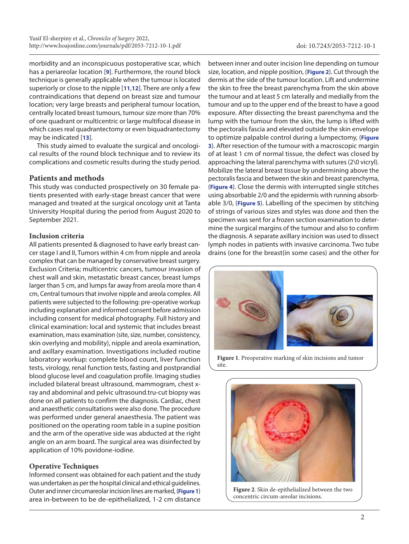morbidity and an inconspicuous postoperative scar, which has a periareolar location [**[9](#page-6-8)**]. Furthermore, the round block technique is generally applicable when the tumour is located superiorly or close to the nipple [**[11](#page-6-10)**,**[12](#page-6-11)**]. There are only a few contraindications that depend on breast size and tumour location; very large breasts and peripheral tumour location, centrally located breast tumours, tumour size more than 70% of one quadrant or multicentric or large multifocal disease in which cases real quadrantectomy or even biquadrantectomy may be indicated [**[13](#page-6-12)**].

This study aimed to evaluate the surgical and oncological results of the round block technique and to review its complications and cosmetic results during the study period.

# **Patients and methods**

This study was conducted prospectively on 30 female patients presented with early-stage breast cancer that were managed and treated at the surgical oncology unit at Tanta University Hospital during the period from August 2020 to September 2021.

# **Inclusion criteria**

All patients presented & diagnosed to have early breast cancer stage I and II, Tumors within 4 cm from nipple and areola complex that can be managed by conservative breast surgery. Exclusion Criteria; multicentric cancers, tumour invasion of chest wall and skin, metastatic breast cancer, breast lumps larger than 5 cm, and lumps far away from areola more than 4 cm, Central tumours that involve nipple and areola complex. All patients were subjected to the following: pre-operative workup including explanation and informed consent before admission including consent for medical photography. Full history and clinical examination: local and systemic that includes breast examination, mass examination (site, size, number, consistency, skin overlying and mobility), nipple and areola examination, and axillary examination. Investigations included routine laboratory workup: complete blood count, liver function tests, virology, renal function tests, fasting and postprandial blood glucose level and coagulation profile. Imaging studies included bilateral breast ultrasound, mammogram, chest xray and abdominal and pelvic ultrasound.tru-cut biopsy was done on all patients to confirm the diagnosis. Cardiac, chest and anaesthetic consultations were also done. The procedure was performed under general anaesthesia. The patient was positioned on the operating room table in a supine position and the arm of the operative side was abducted at the right angle on an arm board. The surgical area was disinfected by application of 10% povidone-iodine.

# **Operative Techniques**

Informed consent was obtained for each patient and the study was undertaken as per the hospital clinical and ethical guidelines. Outer and inner circumareolar incision lines are marked, (**Figure 1**) area in-between to be de-epithelialized, 1-2 cm distance between inner and outer incision line depending on tumour size, location, and nipple position, (**Figure 2**). Cut through the dermis at the side of the tumour location. Lift and undermine the skin to free the breast parenchyma from the skin above the tumour and at least 5 cm laterally and medially from the tumour and up to the upper end of the breast to have a good exposure. After dissecting the breast parenchyma and the lump with the tumour from the skin, the lump is lifted with the pectoralis fascia and elevated outside the skin envelope to optimize palpable control during a lumpectomy, (**[Figure](#page-2-0) [3](#page-2-0)**). After resection of the tumour with a macroscopic margin of at least 1 cm of normal tissue, the defect was closed by approaching the lateral parenchyma with sutures (2\0 vicryl). Mobilize the lateral breast tissue by undermining above the pectoralis fascia and between the skin and breast parenchyma, (**[Figure 4](#page-2-0)**). Close the dermis with interrupted single stitches using absorbable 2/0 and the epidermis with running absorbable 3/0, (**[Figure 5](#page-2-0)**). Labelling of the specimen by stitching of strings of various sizes and styles was done and then the specimen was sent for a frozen section examination to determine the surgical margins of the tumour and also to confirm the diagnosis. A separate axillary incision was used to dissect lymph nodes in patients with invasive carcinoma. Two tube drains (one for the breast(in some cases) and the other for



**Figure 1**. Preoperative marking of skin incisions and tumor site.



**Figure 2**. Skin de-epithelialized between the two concentric circum-areolar incisions.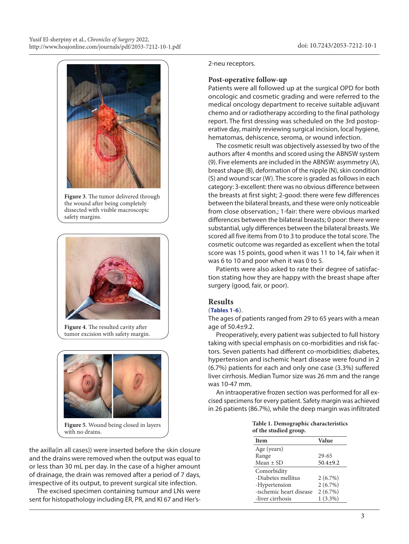<span id="page-2-0"></span>

**Figure 3**. The tumor delivered through the wound after being completely dissected with visible macroscopic safety margins.



**Figure 4**. The resulted cavity after tumor excision with safety margin.



**Figure 5**. Wound being closed in layers with no drains.

the axilla(in all cases)) were inserted before the skin closure and the drains were removed when the output was equal to or less than 30 mL per day. In the case of a higher amount of drainage, the drain was removed after a period of 7 days, irrespective of its output, to prevent surgical site infection.

The excised specimen containing tumour and LNs were sent for histopathology including ER, PR, and KI 67 and Her's-

## 2-neu receptors.

## **Post-operative follow-up**

Patients were all followed up at the surgical OPD for both oncologic and cosmetic grading and were referred to the medical oncology department to receive suitable adjuvant chemo and or radiotherapy according to the final pathology report. The first dressing was scheduled on the 3rd postoperative day, mainly reviewing surgical incision, local hygiene, hematomas, dehiscence, seroma, or wound infection.

The cosmetic result was objectively assessed by two of the authors after 4 months and scored using the ABNSW system (9). Five elements are included in the ABNSW: asymmetry (A), breast shape (B), deformation of the nipple (N), skin condition (S) and wound scar (W). The score is graded as follows in each category: 3-excellent: there was no obvious difference between the breasts at first sight; 2-good: there were few differences between the bilateral breasts, and these were only noticeable from close observation.; 1-fair: there were obvious marked differences between the bilateral breasts; 0 poor: there were substantial, ugly differences between the bilateral breasts. We scored all five items from 0 to 3 to produce the total score. The cosmetic outcome was regarded as excellent when the total score was 15 points, good when it was 11 to 14, fair when it was 6 to 10 and poor when it was 0 to 5.

Patients were also asked to rate their degree of satisfaction stating how they are happy with the breast shape after surgery (good, fair, or poor).

# **Results**

## (**[Tables 1](#page-3-0)-[6](#page-3-0)**).

The ages of patients ranged from 29 to 65 years with a mean age of 50.4±9.2.

Preoperatively, every patient was subjected to full history taking with special emphasis on co-morbidities and risk factors. Seven patients had different co-morbidities; diabetes, hypertension and ischemic heart disease were found in 2 (6.7%) patients for each and only one case (3.3%) suffered liver cirrhosis. Median Tumor size was 26 mm and the range was 10-47 mm.

An intraoperative frozen section was performed for all excised specimens for every patient. Safety margin was achieved in 26 patients (86.7%), while the deep margin was infiltrated

> **Table 1. Demographic characteristics of the studied group.**

| <b>Item</b>             | Value        |  |  |
|-------------------------|--------------|--|--|
| Age (years)             |              |  |  |
| Range                   | $29 - 65$    |  |  |
| Mean $\pm$ SD           | $50.4 + 9.2$ |  |  |
| Comorbidity             |              |  |  |
| -Diabetes mellitus      | 2(6.7%)      |  |  |
| -Hypertension           | $2(6.7\%)$   |  |  |
| -ischemic heart disease | 2(6.7%)      |  |  |
| -liver cirrhosis        | $1(3.3\%)$   |  |  |
|                         |              |  |  |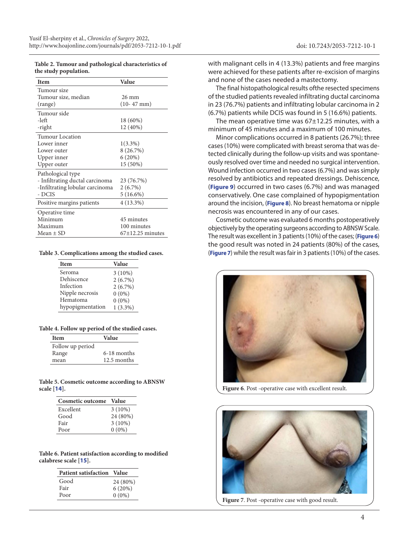<span id="page-3-0"></span>**Table 2. Tumour and pathological characteristics of the study population.**

| Item                            | Value                |
|---------------------------------|----------------------|
| Tumour size                     |                      |
| Tumour size, median             | $26 \text{ mm}$      |
| (range)                         | $(10-47)$ mm $)$     |
| Tumour side                     |                      |
| -left                           | 18 (60%)             |
| -right                          | 12 (40%)             |
| <b>Tumour Location</b>          |                      |
| Lower inner                     | $1(3.3\%)$           |
| Lower outer                     | 8(26.7%)             |
| Upper inner                     | 6(20%)               |
| Upper outer                     | 15 (50%)             |
| Pathological type               |                      |
| - Infiltrating ductal carcinoma | 23 (76.7%)           |
| -Infiltrating lobular carcinoma | 2(6.7%)              |
| - DCIS                          | 5(16.6%)             |
| Positive margins patients       | $4(13.3\%)$          |
| Operative time                  |                      |
| Minimum                         | 45 minutes           |
| Maximum                         | 100 minutes          |
| Mean ± SD                       | $67\pm12.25$ minutes |

#### **Table 3. Complications among the studied cases.**

| Item             | Value      |
|------------------|------------|
| Seroma           | $3(10\%)$  |
| Dehiscence       | $2(6.7\%)$ |
| Infection        | $2(6.7\%)$ |
| Nipple necrosis  | $0(0\%)$   |
| Hematoma         | $0(0\%)$   |
| hypopigmentation | $1(3.3\%)$ |

#### **Table 4. Follow up period of the studied cases.**

| <b>Item</b>      | Value       |  |
|------------------|-------------|--|
| Follow up period |             |  |
| Range            | 6-18 months |  |
| mean             | 12.5 months |  |

#### **Table 5. Cosmetic outcome according to ABNSW scale [[14](#page-6-13)].**

| Cosmetic outcome | Value     |
|------------------|-----------|
| Excellent        | $3(10\%)$ |
| Good             | 24 (80%)  |
| Fair             | $3(10\%)$ |
| Poor             | $0(0\%)$  |

#### **Table 6. Patient satisfaction according to modified calabrese scale [[15](#page-6-14)].**

| Patient satisfaction Value |          |  |  |
|----------------------------|----------|--|--|
| Good                       | 24 (80%) |  |  |
| Fair                       | 6(20%)   |  |  |
| Poor                       | $0(0\%)$ |  |  |

with malignant cells in 4 (13.3%) patients and free margins were achieved for these patients after re-excision of margins and none of the cases needed a mastectomy.

The final histopathological results ofthe resected specimens of the studied patients revealed infiltrating ductal carcinoma in 23 (76.7%) patients and infiltrating lobular carcinoma in 2 (6.7%) patients while DCIS was found in 5 (16.6%) patients.

The mean operative time was 67±12.25 minutes, with a minimum of 45 minutes and a maximum of 100 minutes.

Minor complications occurred in 8 patients (26.7%); three cases (10%) were complicated with breast seroma that was detected clinically during the follow-up visits and was spontaneously resolved over time and needed no surgical intervention. Wound infection occurred in two cases (6.7%) and was simply resolved by antibiotics and repeated dressings. Dehiscence, (**[Figure 9](#page-4-0)**) occurred in two cases (6.7%) and was managed conservatively. One case complained of hypopigmentation around the incision, (**[Figure 8](#page-4-0)**). No breast hematoma or nipple necrosis was encountered in any of our cases.

Cosmetic outcome was evaluated 6 months postoperatively objectively by the operating surgeons according to ABNSW Scale. The result was excellent in 3 patients (10%) of the cases; (**Figure 6**) the good result was noted in 24 patients (80%) of the cases, (**Figure 7**) while the result was fair in 3 patients (10%) of the cases.



**Figure 6**. Post -operative case with excellent result.



**Figure 7**. Post -operative case with good result.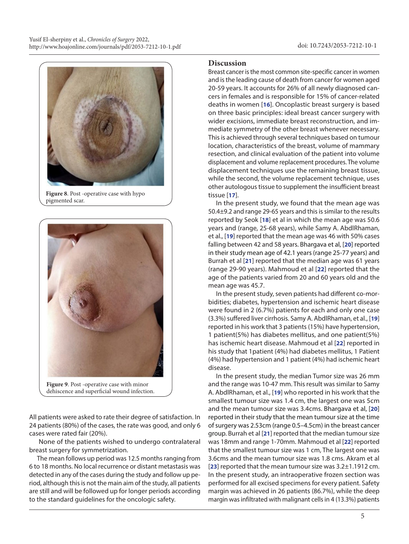<span id="page-4-0"></span>

**Figure 8**. Post -operative case with hypo pigmented scar.



dehiscence and superficial wound infection.

All patients were asked to rate their degree of satisfaction. In 24 patients (80%) of the cases, the rate was good, and only 6 cases were rated fair (20%).

 None of the patients wished to undergo contralateral breast surgery for symmetrization.

The mean follows up period was 12.5 months ranging from 6 to 18 months. No local recurrence or distant metastasis was detected in any of the cases during the study and follow up period, although this is not the main aim of the study, all patients are still and will be followed up for longer periods according to the standard guidelines for the oncologic safety.

# **Discussion**

Breast cancer is the most common site-specific cancer in women and is the leading cause of death from cancer for women aged 20-59 years. It accounts for 26% of all newly diagnosed cancers in females and is responsible for 15% of cancer-related deaths in women [**[16](#page-6-15)**]. Oncoplastic breast surgery is based on three basic principles: ideal breast cancer surgery with wider excisions, immediate breast reconstruction, and immediate symmetry of the other breast whenever necessary. This is achieved through several techniques based on tumour location, characteristics of the breast, volume of mammary resection, and clinical evaluation of the patient into volume displacement and volume replacement procedures. The volume displacement techniques use the remaining breast tissue, while the second, the volume replacement technique, uses other autologous tissue to supplement the insufficient breast tissue [**[17](#page-6-16)**].

In the present study, we found that the mean age was 50.4±9.2 and range 29-65 years and this is similar to the results reported by Seok [**[18](#page-6-17)**] et al in which the mean age was 50.6 years and (range, 25-68 years), while Samy A. AbdlRhaman, et al., [**[19](#page-6-18)**] reported that the mean age was 46 with 50% cases falling between 42 and 58 years. Bhargava et al, [**[20](#page-6-19)**] reported in their study mean age of 42.1 years (range 25-77 years) and Burrah et al [**[21](#page-6-20)**] reported that the median age was 61 years (range 29-90 years). Mahmoud et al [**[22](#page-7-0)**] reported that the age of the patients varied from 20 and 60 years old and the mean age was 45.7.

In the present study, seven patients had different co-morbidities; diabetes, hypertension and ischemic heart disease were found in 2 (6.7%) patients for each and only one case (3.3%) suffered liver cirrhosis. Samy A. AbdlRhaman, et al., [**[19](#page-6-18)**] reported in his work that 3 patients (15%) have hypertension, 1 patient(5%) has diabetes mellitus, and one patient(5%) has ischemic heart disease. Mahmoud et al [**[22](#page-7-0)**] reported in his study that 1patient (4%) had diabetes mellitus, 1 Patient (4%) had hypertension and 1 patient (4%) had ischemic heart disease.

In the present study, the median Tumor size was 26 mm and the range was 10-47 mm. This result was similar to Samy A. AbdlRhaman, et al., [**[19](#page-6-18)**] who reported in his work that the smallest tumour size was 1.4 cm, the largest one was 5cm and the mean tumour size was 3.4cms. Bhargava et al, [**[20](#page-6-19)**] reported in their study that the mean tumour size at the time of surgery was 2.53cm (range 0.5–4.5cm) in the breast cancer group. Burrah et al [**[21](#page-6-20)**] reported that the median tumour size was 18mm and range 1-70mm. Mahmoud et al [**[22](#page-7-0)**] reported that the smallest tumour size was 1 cm, The largest one was 3.6cms and the mean tumour size was 1.8 cms. Akram et al [**[23](#page-7-1)**] reported that the mean tumour size was 3.2±1.1912 cm. In the present study, an intraoperative frozen section was performed for all excised specimens for every patient. Safety margin was achieved in 26 patients (86.7%), while the deep margin was infiltrated with malignant cells in 4 (13.3%) patients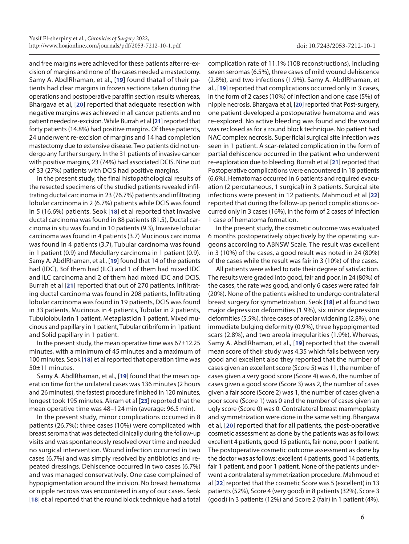and free margins were achieved for these patients after re-excision of margins and none of the cases needed a mastectomy. Samy A. AbdlRhaman, et al., [**[19](#page-6-18)**] found thatall of their patients had clear margins in frozen sections taken during the operations and postoperative paraffin section results whereas, Bhargava et al, [**[20](#page-6-19)**] reported that adequate resection with negative margins was achieved in all cancer patients and no patient needed re-excision. While Burrah et al [**[21](#page-6-20)**] reported that forty patients (14.8%) had positive margins. Of these patients, 24 underwent re-excision of margins and 14 had completion mastectomy due to extensive disease. Two patients did not undergo any further surgery. In the 31 patients of invasive cancer with positive margins, 23 (74%) had associated DCIS. Nine out of 33 (27%) patients with DCIS had positive margins.

In the present study, the final histopathological results of the resected specimens of the studied patients revealed infiltrating ductal carcinoma in 23 (76.7%) patients and infiltrating lobular carcinoma in 2 (6.7%) patients while DCIS was found in 5 (16.6%) patients. Seok [**[18](#page-6-17)**] et al reported that Invasive ductal carcinoma was found in 88 patients (81.5), Ductal carcinoma in situ was found in 10 patients (9.3), Invasive lobular carcinoma was found in 4 patients (3.7) Mucinous carcinoma was found in 4 patients (3.7), Tubular carcinoma was found in 1 patient (0.9) and Medullary carcinoma in 1 patient (0.9). Samy A. AbdlRhaman, et al., [**[19](#page-6-18)**] found that 14 of the patients had (IDC), 3of them had (ILC) and 1 of them had mixed IDC and ILC carcinoma and 2 of them had mixed IDC and DCIS. Burrah et al [**[21](#page-6-20)**] reported that out of 270 patients, Infiltrating ductal carcinoma was found in 208 patients, Infiltrating lobular carcinoma was found in 19 patients, DCIS was found in 33 patients, Mucinous in 4 patients, Tubular in 2 patients, Tubulolobularin 1 patient, Metaplasticin 1 patient, Mixed mucinous and papillary in 1 patient, Tubular cribriform in 1patient and Solid papillary in 1 patient.

In the present study, the mean operative time was 67±12.25 minutes, with a minimum of 45 minutes and a maximum of 100 minutes. Seok [**[18](#page-6-17)**] et al reported that operation time was 50±11 minutes.

Samy A. AbdlRhaman, et al., [**[19](#page-6-18)**] found that the mean operation time for the unilateral cases was 136 minutes (2 hours and 26 minutes), the fastest procedure finished in 120 minutes, longest took 195 minutes. Akram et al [**[23](#page-7-1)**] reported that the mean operative time was 48–124 min (average: 96.5 min).

In the present study, minor complications occurred in 8 patients (26.7%); three cases (10%) were complicated with breast seroma that was detected clinically during the follow-up visits and was spontaneously resolved over time and needed no surgical intervention. Wound infection occurred in two cases (6.7%) and was simply resolved by antibiotics and repeated dressings. Dehiscence occurred in two cases (6.7%) and was managed conservatively. One case complained of hypopigmentation around the incision. No breast hematoma or nipple necrosis was encountered in any of our cases. Seok [**[18](#page-6-17)**] et al reported that the round block technique had a total

complication rate of 11.1% (108 reconstructions), including seven seromas (6.5%), three cases of mild wound dehiscence (2.8%), and two infections (1.9%). Samy A. AbdlRhaman, et al., [**[19](#page-6-18)**] reported that complications occurred only in 3 cases, in the form of 2 cases (10%) of infection and one case (5%) of nipple necrosis. Bhargava et al, [**[20](#page-6-19)**] reported that Post-surgery, one patient developed a postoperative hematoma and was re-explored. No active bleeding was found and the wound was reclosed as for a round block technique. No patient had NAC complex necrosis. Superficial surgical site infection was seen in 1 patient. A scar-related complication in the form of partial dehiscence occurred in the patient who underwent re-exploration due to bleeding. Burrah et al [**[21](#page-6-20)**] reported that Postoperative complications were encountered in 18 patients (6.6%). Hematomas occurred in 6 patients and required evacuation (2 percutaneous, 1 surgical) in 3 patients. Surgical site infections were present in 12 patients. Mahmoud et al [**[22](#page-7-0)**] reported that during the follow-up period complications occurred only in 3 cases (16%), in the form of 2 cases of infection 1 case of hematoma formation.

In the present study, the cosmetic outcome was evaluated 6 months postoperatively objectively by the operating surgeons according to ABNSW Scale. The result was excellent in 3 (10%) of the cases, a good result was noted in 24 (80%) of the cases while the result was fair in 3 (10%) of the cases.

All patients were asked to rate their degree of satisfaction. The results were graded into good, fair and poor. In 24 (80%) of the cases, the rate was good, and only 6 cases were rated fair (20%). None of the patients wished to undergo contralateral breast surgery for symmetrization. Seok [**[18](#page-6-17)**] et al found two major depression deformities (1.9%), six minor depression deformities (5.5%), three cases of areolar widening (2.8%), one immediate bulging deformity (0.9%), three hypopigmented scars (2.8%), and two areola irregularities (1.9%), Whereas, Samy A. AbdlRhaman, et al., [**[19](#page-6-18)**] reported that the overall mean score of their study was 4.35 which falls between very good and excellent also they reported that the number of cases given an excellent score (Score 5) was 11, the number of cases given a very good score (Score 4) was 6, the number of cases given a good score (Score 3) was 2, the number of cases given a fair score (Score 2) was 1, the number of cases given a poor score (Score 1) was 0 and the number of cases given an ugly score (Score 0) was 0. Contralateral breast mammoplasty and symmetrization were done in the same setting. Bhargava et al, [**[20](#page-6-19)**] reported that for all patients, the post-operative cosmetic assessment as done by the patients was as follows: excellent 4 patients, good 15 patients, fair none, poor 1 patient. The postoperative cosmetic outcome assessment as done by the doctor was as follows: excellent 4 patients, good 14 patients, fair 1 patient, and poor 1 patient. None of the patients underwent a contralateral symmetrization procedure. Mahmoud et al [**[22](#page-7-0)**] reported that the cosmetic Score was 5 (excellent) in 13 patients (52%), Score 4 (very good) in 8 patients (32%), Score 3 (good) in 3 patients (12%) and Score 2 (fair) in 1 patient (4%).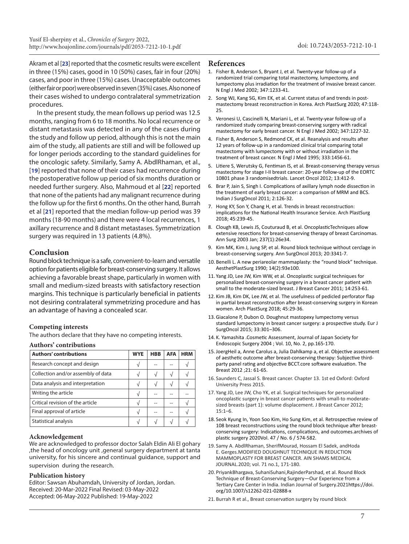Akram et al [**[23](#page-7-1)**] reported that the cosmetic results were excellent in three (15%) cases, good in 10 (50%) cases, fair in four (20%) cases, and poor in three (15%) cases. Unacceptable outcomes (either fair or poor) were observed in seven (35%) cases. Also none of their cases wished to undergo contralateral symmetrization procedures.

In the present study, the mean follows up period was 12.5 months, ranging from 6 to 18 months. No local recurrence or distant metastasis was detected in any of the cases during the study and follow up period, although this is not the main aim of the study, all patients are still and will be followed up for longer periods according to the standard guidelines for the oncologic safety. Similarly, Samy A. AbdlRhaman, et al., [**[19](#page-6-18)**] reported that none of their cases had recurrence during the postoperative follow up period of six months duration or needed further surgery. Also, Mahmoud et al [**[22](#page-7-0)**] reported that none of the patients had any malignant recurrence during the follow up for the first 6 months. On the other hand, Burrah et al [**[21](#page-6-20)**] reported that the median follow-up period was 39 months (18-90 months) and there were 4 local recurrences, 1 axillary recurrence and 8 distant metastases. Symmetrization surgery was required in 13 patients (4.8%).

## **Conclusion**

Round block technique is a safe, convenient-to-learn and versatile option for patients eligible for breast-conserving surgery. It allows achieving a favorable breast shape, particularly in women with small and medium-sized breasts with satisfactory resection margins. This technique is particularly beneficial in patients not desiring contralateral symmetrizing procedure and has an advantage of having a concealed scar.

## **Competing interests**

The authors declare that they have no competing interests.

## **Authors' contributions**

| <b>Authors' contributions</b>      | <b>WYE</b> | <b>HBB</b> | <b>AFA</b> | <b>HRM</b> |
|------------------------------------|------------|------------|------------|------------|
| Research concept and design        |            |            |            |            |
| Collection and/or assembly of data |            |            |            |            |
| Data analysis and interpretation   |            |            |            |            |
| Writing the article                |            |            |            |            |
| Critical revision of the article   |            |            |            |            |
| Final approval of article          |            |            |            |            |
| Statistical analysis               |            |            |            |            |

## **Acknowledgement**

We are acknowledged to professor doctor Salah Eldin Ali El gohary ,the head of oncology unit ,general surgery department at tanta university, for his sincere and continual guidance, support and supervision during the research.

#### **Publication history**

Editor: Sawsan Abuhamdah, University of Jordan, Jordan. Received: 20-Mar-2022 Final Revised: 03-May-2022 Accepted: 06-May-2022 Published: 19-May-2022

## **References**

- <span id="page-6-0"></span>1. Fisher B, Anderson S, Bryant J, et al. Twenty-year follow-up of a randomized trial comparing total mastectomy, lumpectomy, and lumpectomy plus irradiation for the treatment of invasive breast cancer. N Engl J Med 2002; 347:1233-41.
- <span id="page-6-1"></span>2. Song WJ, Kang SG, Kim EK, et al. Current status of and trends in postmastectomy breast reconstruction in Korea. Arch PlastSurg 2020; 47:118- 25.
- <span id="page-6-2"></span>3. Veronesi U, Cascinelli N, Mariani L, et al. Twenty-year follow-up of a randomized study comparing breast-conserving surgery with radical mastectomy for early breast cancer. N Engl J Med 2002; 347:1227-32.
- <span id="page-6-3"></span>4. Fisher B, Anderson S, Redmond CK, et al. Reanalysis and results after 12 years of follow-up in a randomized clinical trial comparing total mastectomy with lumpectomy with or without irradiation in the treatment of breast cancer. N Engl J Med 1995; 333:1456-61.
- <span id="page-6-4"></span>5. Litiere S, Werutsky G, Fentiman IS, et al. Breast-conserving therapy versus mastectomy for stage I-II breast cancer: 20-year follow-up of the EORTC 10801 phase 3 randomisedtrials. Lancet Oncol 2012; 13:412-9.
- <span id="page-6-5"></span>6. Brar P, Jain S, Singh I. Complications of axillary lymph node dissection in the treatment of early breast cancer: a comparison of MRM and BCS. Indian J SurgOncol 2011; 2:126-32.
- <span id="page-6-6"></span>7. Hong KY, Son Y, Chang H, et al. Trends in breast reconstruction: implications for the National Health Insurance Service. Arch PlastSurg 2018; 45:239-45.
- <span id="page-6-7"></span>8. Clough KB, Lewis JS, Couturaud B, et al. OncoplasticTechniques allow extensive resections for breast-conserving therapy of breast Carcinomas. Ann Surg 2003 Jan; 237(1):26e34.
- <span id="page-6-8"></span>9. Kim MK, Kim J, Jung SP, et al. Round block technique without cerclage in breast-conserving surgery. Ann SurgOncol 2013; 20:3341-7.
- <span id="page-6-9"></span>10. Benelli L. A new periareolar mammaplasty: the "round block" technique. AesthetPlastSurg 1990; 14(2):93e100.
- <span id="page-6-10"></span>11. Yang JD, Lee JW, Kim WW, et al. Oncoplastic surgical techniques for personalized breast-conserving surgery in a breast cancer patient with small to the moderate-sized breast. J Breast Cancer 2011; 14:253-61.
- <span id="page-6-11"></span>12. Kim JB, Kim DK, Lee JW, et al. The usefulness of pedicled perforator flap in partial breast reconstruction after breast-conserving surgery in Korean women. Arch PlastSurg 2018; 45:29-36.
- <span id="page-6-12"></span>13.Giacalone P, Dubon O. Doughnut mastopexy lumpectomy versus standard lumpectomy in breast cancer surgery: a prospective study. Eur J SurgOncol 2015; 33:301–306.
- <span id="page-6-13"></span>14. K. Yamashita .Cosmetic Assessment, Journal of Japan Society for Endoscopic Surgery 2004 ; Vol. 10, No. 2, pp.165-170.
- <span id="page-6-14"></span>15.JoergHeil a, Anne Carolus a, Julia Dahlkamp a, et al. Objective assessment of aesthetic outcome after breast-conserving therapy: Subjective thirdparty panel rating and objective BCCT.core software evaluation. The Breast 2012 ;21: 61-65.
- <span id="page-6-15"></span>16. Saunders C, Jassal S. Breast cancer. Chapter 13. 1st ed Oxford: Oxford University Press 2015.
- <span id="page-6-16"></span>17. Yang JD, Lee JW, Cho YK, et al. Surgical techniques for personalized oncoplastic surgery in breast cancer patients with small-to moderatesized breasts (part 1): volume displacement. J Breast Cancer 2012; 15:1–6.
- <span id="page-6-17"></span>18. Seok Kyung In, Yoon Soo Kim, Ho Sung Kim, et al. Retrospective review of 108 breast reconstructions using the round block technique after breastconserving surgery: Indications, complications, and outcomes.archives of plastic surgery 2020Vol. 47 / No. 6 / 574-582.
- <span id="page-6-18"></span>19. Samy A. AbdlRhaman, SherifMourad, Hossam El Sadek, andHoda E. Gerges.MODIFIED DOUGHNUT TECHNIQUE IN REDUCTION MAMMOPLASTY FOR BREAST CANCER. AIN SHAMS MEDICAL JOURNAL.2020; vol. 71 no.1, 171-180.
- <span id="page-6-19"></span>20. PriyankBhargava, SuhaniSuhani,RajinderParshad, et al. Round Block Technique of Breast-Conserving Surgery—Our Experience from a Tertiary Care Center in India. Indian Journal of Surgery.2021https://doi. org/10.1007/s12262-021-02888-x
- <span id="page-6-20"></span>21. Burrah R et al., Breast conservation surgery by round block